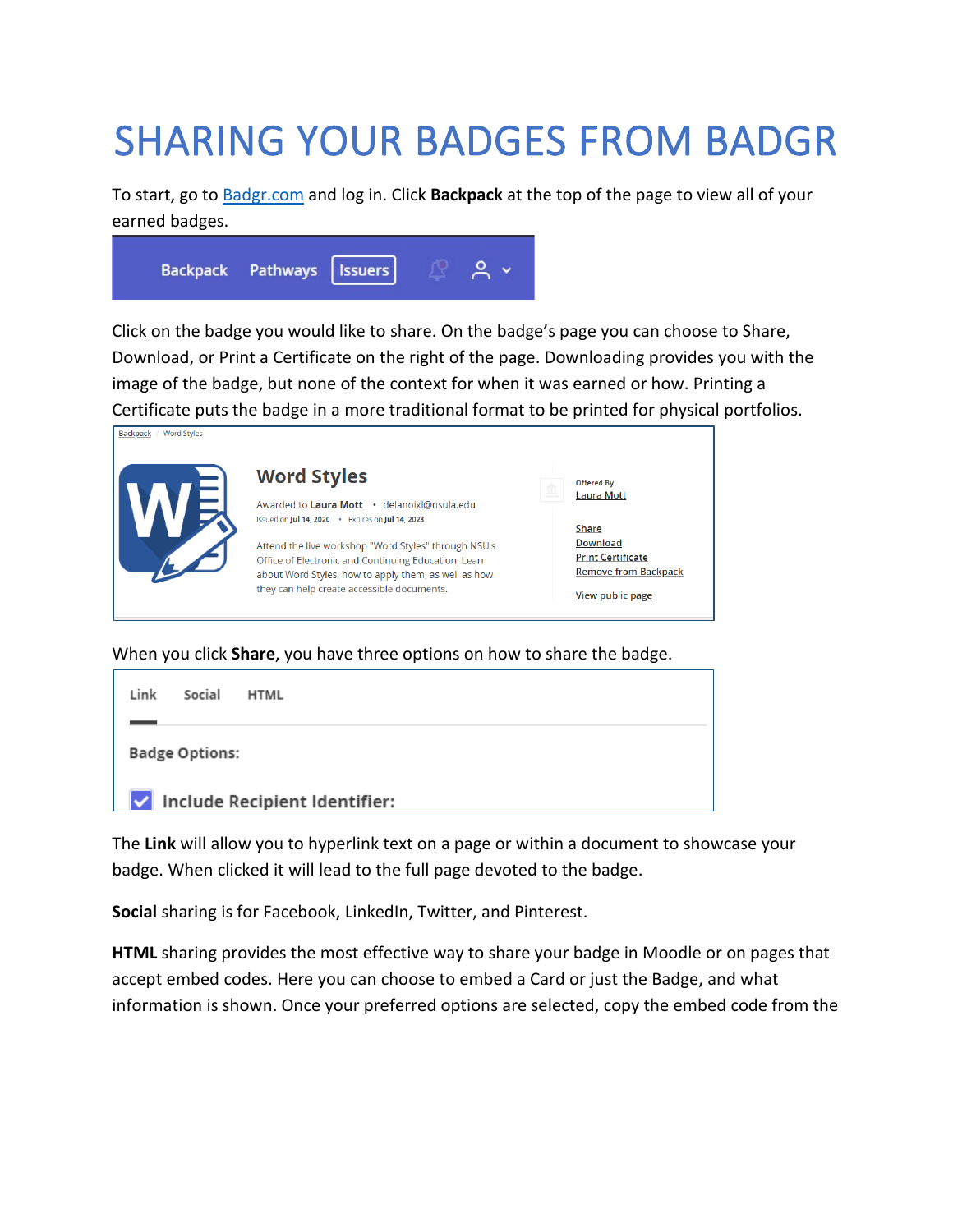## SHARING YOUR BADGES FROM BADGR

To start, go to [Badgr.com](https://badgr.com/) and log in. Click **Backpack** at the top of the page to view all of your earned badges.



Click on the badge you would like to share. On the badge's page you can choose to Share, Download, or Print a Certificate on the right of the page. Downloading provides you with the image of the badge, but none of the context for when it was earned or how. Printing a Certificate puts the badge in a more traditional format to be printed for physical portfolios.

| Word Styles<br><b>Backpack</b> |                                                                                                                                                                                                                    |                                                                                                         |
|--------------------------------|--------------------------------------------------------------------------------------------------------------------------------------------------------------------------------------------------------------------|---------------------------------------------------------------------------------------------------------|
|                                | <b>Word Styles</b><br>Awarded to Laura Mott · delanoixl@nsula.edu<br>Issued on Jul 14, 2020 . Expires on Jul 14, 2023                                                                                              | <b>Offered By</b><br>血<br><b>Laura Mott</b>                                                             |
|                                | Attend the live workshop "Word Styles" through NSU's<br>Office of Electronic and Continuing Education. Learn<br>about Word Styles, how to apply them, as well as how<br>they can help create accessible documents. | Share<br><b>Download</b><br><b>Print Certificate</b><br><b>Remove from Backpack</b><br>View public page |

When you click **Share**, you have three options on how to share the badge.

| Link                          | Social | <b>HTML</b> |  |  |  |
|-------------------------------|--------|-------------|--|--|--|
| <b>Badge Options:</b>         |        |             |  |  |  |
| Include Recipient Identifier: |        |             |  |  |  |

The **Link** will allow you to hyperlink text on a page or within a document to showcase your badge. When clicked it will lead to the full page devoted to the badge.

**Social** sharing is for Facebook, LinkedIn, Twitter, and Pinterest.

**HTML** sharing provides the most effective way to share your badge in Moodle or on pages that accept embed codes. Here you can choose to embed a Card or just the Badge, and what information is shown. Once your preferred options are selected, copy the embed code from the